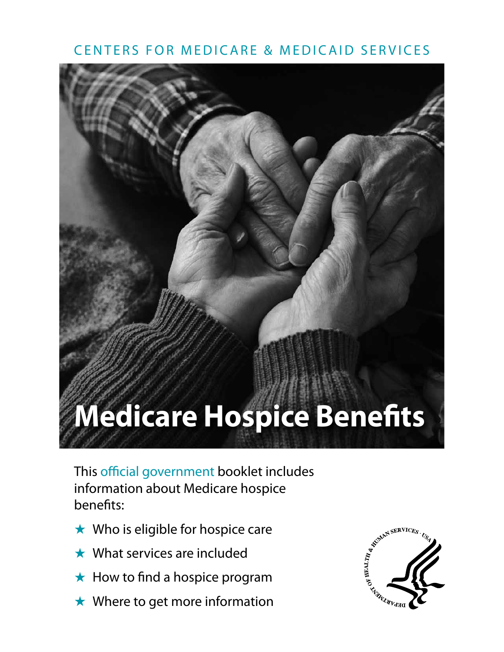# CENTERS FOR MEDICARE & MEDICAID SERVICES



This official government booklet includes information about Medicare hospice benefits:

- $\star$  Who is eligible for hospice care
- $\star$  What services are included
- $\star$  How to find a hospice program
- $\star$  Where to get more information

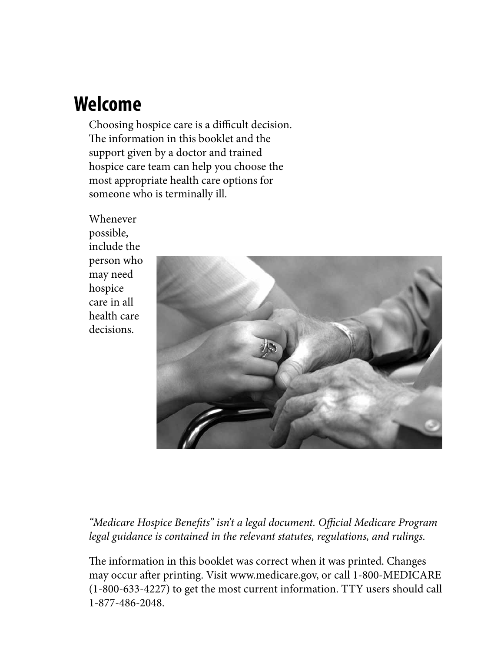# **Welcome**

Choosing hospice care is a difficult decision. The information in this booklet and the support given by a doctor and trained hospice care team can help you choose the most appropriate health care options for someone who is terminally ill.

Whenever possible, include the person who may need hospice care in all health care decisions.



*"Medicare Hospice Benefits" isn't a legal document. Official Medicare Program legal guidance is contained in the relevant statutes, regulations, and rulings.* 

The information in this booklet was correct when it was printed. Changes may occur after printing. Visit <www.medicare.gov>, or call 1-800-MEDICARE (1-800-633-4227) to get the most current information. TTY users should call 1-877-486-2048.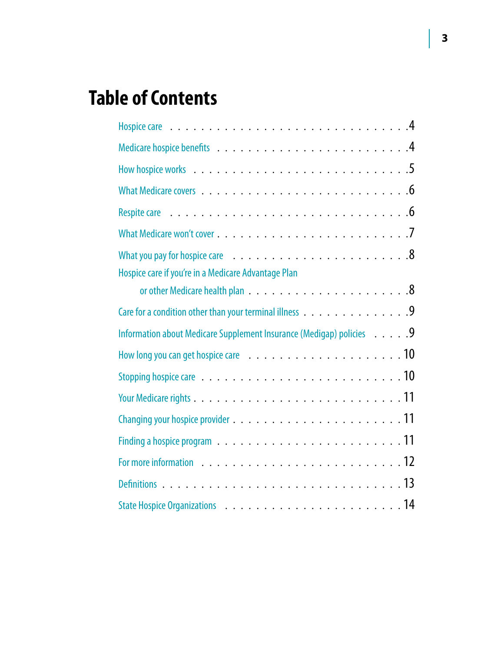# **Table of Contents**

| What Medicare covers $\dots \dots \dots \dots \dots \dots \dots \dots \dots \dots \dots$      |
|-----------------------------------------------------------------------------------------------|
|                                                                                               |
|                                                                                               |
| Hospice care if you're in a Medicare Advantage Plan                                           |
|                                                                                               |
| Care for a condition other than your terminal illness 9                                       |
| <b>Information about Medicare Supplement Insurance (Medigap) policies</b> 9                   |
|                                                                                               |
|                                                                                               |
|                                                                                               |
|                                                                                               |
| Finding a hospice program $\ldots \ldots \ldots \ldots \ldots \ldots \ldots \ldots \ldots 11$ |
|                                                                                               |
|                                                                                               |
|                                                                                               |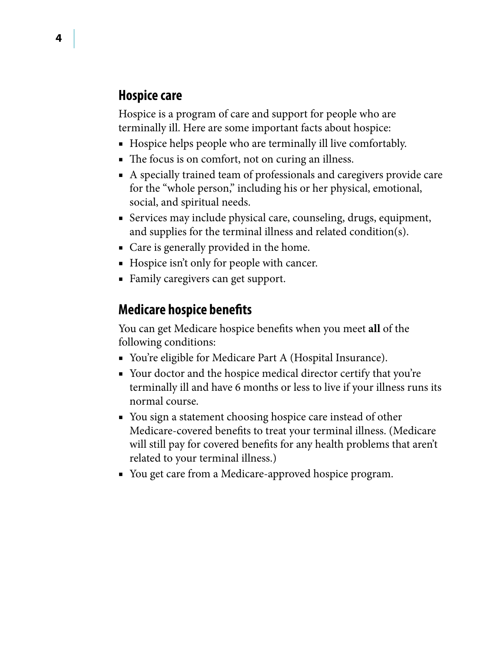#### <span id="page-3-0"></span>**Hospice care**

Hospice is a program of care and support for people who are terminally ill. Here are some important facts about hospice:

- Hospice helps people who are terminally ill live comfortably.
- The focus is on comfort, not on curing an illness.
- A specially trained team of professionals and caregivers provide care for the "whole person," including his or her physical, emotional, social, and spiritual needs.
- Services may include physical care, counseling, drugs, equipment, and supplies for the terminal illness and related condition(s).
- Care is generally provided in the home.
- Hospice isn't only for people with cancer.
- Family caregivers can get support.

# **Medicare hospice benefits**

You can get Medicare hospice benefits when you meet **all** of the following conditions:

- You're eligible for Medicare Part A (Hospital Insurance).
- Your doctor and the hospice medical director certify that you're terminally ill and have 6 months or less to live if your illness runs its normal course.
- You sign a statement choosing hospice care instead of other Medicare-covered benefits to treat your terminal illness. (Medicare will still pay for covered benefits for any health problems that aren't related to your terminal illness.)
- You get care from a Medicare-approved hospice program.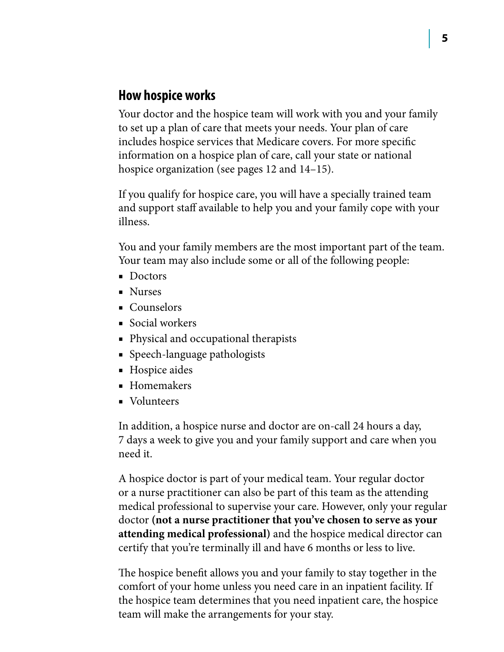#### <span id="page-4-0"></span>**How hospice works**

Your doctor and the hospice team will work with you and your family to set up a plan of care that meets your needs. Your plan of care includes hospice services that Medicare covers. For more specific information on a hospice plan of care, call your state or national hospice organization (se[e pages 12](#page-11-1) and [14–15\)](#page-13-1).

If you qualify for hospice care, you will have a specially trained team and support staff available to help you and your family cope with your illness.

You and your family members are the most important part of the team. Your team may also include some or all of the following people:

- Doctors
- Nurses
- Counselors
- Social workers
- Physical and occupational therapists
- Speech-language pathologists
- Hospice aides
- Homemakers
- Volunteers

In addition, a hospice nurse and doctor are on-call 24 hours a day, 7 days a week to give you and your family support and care when you need it.

A hospice doctor is part of your medical team. Your regular doctor or a nurse practitioner can also be part of this team as the attending medical professional to supervise your care. However, only your regular doctor **(not a nurse practitioner that you've chosen to serve as your attending medical professional)** and the hospice medical director can certify that you're terminally ill and have 6 months or less to live.

The hospice benefit allows you and your family to stay together in the comfort of your home unless you need care in an inpatient facility. If the hospice team determines that you need inpatient care, the hospice team will make the arrangements for your stay.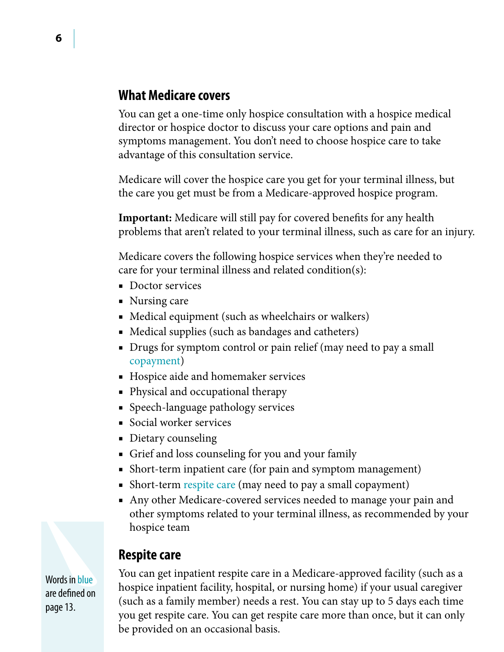### <span id="page-5-0"></span>**What Medicare covers**

You can get a one-time only hospice consultation with a hospice medical director or hospice doctor to discuss your care options and pain and symptoms management. You don't need to choose hospice care to take advantage of this consultation service.

Medicare will cover the hospice care you get for your terminal illness, but the care you get must be from a Medicare-approved hospice program.

**Important:** Medicare will still pay for covered benefits for any health problems that aren't related to your terminal illness, such as care for an injury.

Medicare covers the following hospice services when they're needed to care for your terminal illness and related condition(s):

- Doctor services
- Nursing care
- Medical equipment (such as wheelchairs or walkers)
- Medical supplies (such as bandages and catheters)
- Drugs for symptom control or pain relief (may need to pay a small [copayment](#page-12-1))
- Hospice aide and homemaker services
- Physical and occupational therapy
- Speech-language pathology services
- Social worker services
- Dietary counseling
- Grief and loss counseling for you and your family
- Short-term inpatient care (for pain and symptom management)
- Short-term [respite care](#page-12-2) (may need to pay a small copayment)
- Any other Medicare-covered services needed to manage your pain and other symptoms related to your terminal illness, as recommended by your hospice team

### **Respite care**

Words in blue are defined on page 13.

You can get inpatient respite care in a Medicare-approved facility (such as a hospice inpatient facility, hospital, or nursing home) if your usual caregiver (such as a family member) needs a rest. You can stay up to 5 days each time you get respite care. You can get respite care more than once, but it can only be provided on an occasional basis.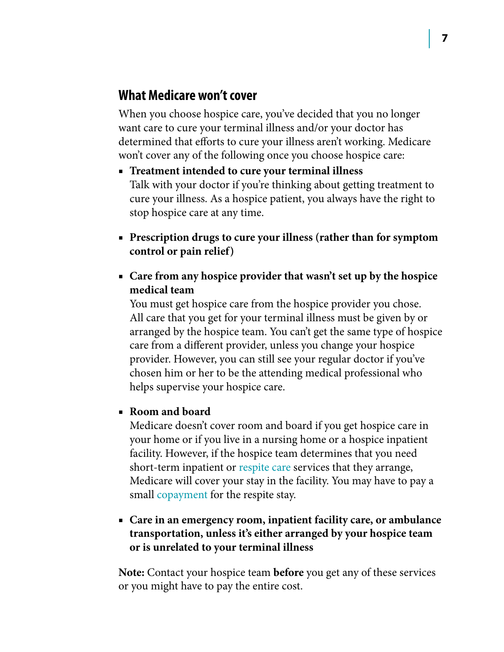### <span id="page-6-0"></span>**What Medicare won't cover**

When you choose hospice care, you've decided that you no longer want care to cure your terminal illness and/or your doctor has determined that efforts to cure your illness aren't working. Medicare won't cover any of the following once you choose hospice care:

- **Treatment intended to cure your terminal illness** Talk with your doctor if you're thinking about getting treatment to cure your illness. As a hospice patient, you always have the right to stop hospice care at any time.
- **Prescription drugs to cure your illness (rather than for symptom control or pain relief)**
- **Care from any hospice provider that wasn't set up by the hospice medical team**

You must get hospice care from the hospice provider you chose. All care that you get for your terminal illness must be given by or arranged by the hospice team. You can't get the same type of hospice care from a different provider, unless you change your hospice provider. However, you can still see your regular doctor if you've chosen him or her to be the attending medical professional who helps supervise your hospice care.

#### ■ **Room and board**

Medicare doesn't cover room and board if you get hospice care in your home or if you live in a nursing home or a hospice inpatient facility. However, if the hospice team determines that you need short-term inpatient or [respite care](#page-12-2) services that they arrange, Medicare will cover your stay in the facility. You may have to pay a small [copayment](#page-12-1) for the respite stay.

■ **Care in an emergency room, inpatient facility care, or ambulance transportation, unless it's either arranged by your hospice team or is unrelated to your terminal illness** 

**Note:** Contact your hospice team **before** you get any of these services or you might have to pay the entire cost.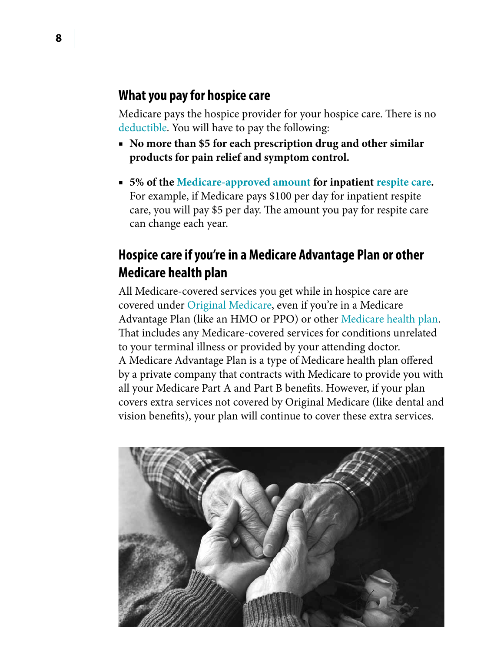### <span id="page-7-0"></span>**What you pay for hospice care**

Medicare pays the hospice provider for your hospice care. There is no [deductible.](#page-12-3) You will have to pay the following:

- **No more than \$5 for each prescription drug and other similar products for pain relief and symptom control.**
- **5% of the Medicare-approved amount for inpatient respite care.** For example, if Medicare pays \$100 per day for inpatient respite care, you will pay \$5 per day. The amount you pay for respite care can change each year.

# **Hospice care if you're in a Medicare Advantage Plan or other Medicare health plan**

All Medicare-covered services you get while in hospice care are covered under [Original Medicare](#page-12-4), even if you're in a Medicare Advantage Plan (like an HMO or PPO) or other [Medicare health plan](#page-12-5). That includes any Medicare-covered services for conditions unrelated to your terminal illness or provided by your attending doctor. A Medicare Advantage Plan is a type of Medicare health plan offered by a private company that contracts with Medicare to provide you with all your Medicare Part A and Part B benefits. However, if your plan covers extra services not covered by Original Medicare (like dental and vision benefits), your plan will continue to cover these extra services.

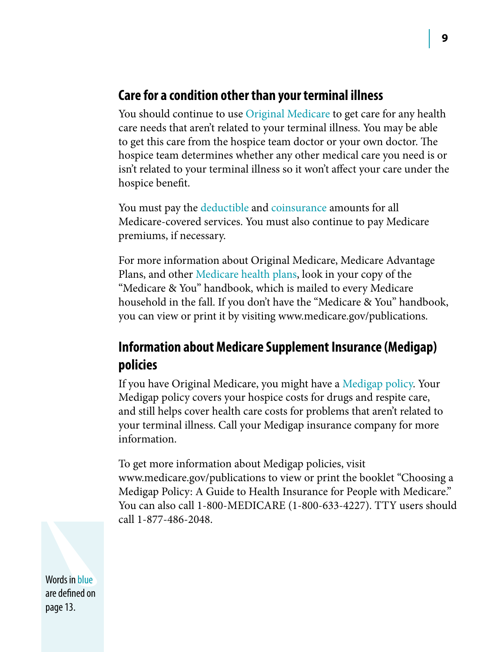### <span id="page-8-0"></span>**Care for a condition other than your terminal illness**

You should continue to use [Original Medicare](#page-12-4) to get care for any health care needs that aren't related to your terminal illness. You may be able to get this care from the hospice team doctor or your own doctor. The hospice team determines whether any other medical care you need is or isn't related to your terminal illness so it won't affect your care under the hospice benefit.

You must pay the [deductible](#page-12-3) and [coinsurance](#page-12-6) amounts for all Medicare-covered services. You must also continue to pay Medicare premiums, if necessary.

For more information about Original Medicare, Medicare Advantage Plans, and other [Medicare health plans,](#page-12-5) look in your copy of the "Medicare & You" handbook, which is mailed to every Medicare household in the fall. If you don't have the "Medicare & You" handbook, you can view or print it by visiting [www.medicare.gov/publications.](www.medicare.gov/publications)

# **Information about Medicare Supplement Insurance (Medigap) policies**

If you have Original Medicare, you might have a [Medigap policy.](#page-12-7) Your Medigap policy covers your hospice costs for drugs and respite care, and still helps cover health care costs for problems that aren't related to your terminal illness. Call your Medigap insurance company for more information.

To get more information about Medigap policies, visit <www.medicare.gov/publications>to view or print the booklet "Choosing a Medigap Policy: A Guide to Health Insurance for People with Medicare." You can also call 1-800-MEDICARE (1-800-633-4227). TTY users should call 1-877-486-2048.

Words in blue are defined on page 13.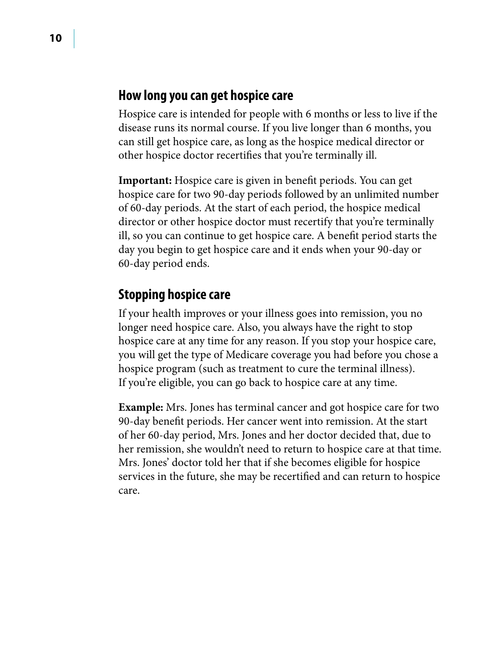#### <span id="page-9-0"></span>**How long you can get hospice care**

Hospice care is intended for people with 6 months or less to live if the disease runs its normal course. If you live longer than 6 months, you can still get hospice care, as long as the hospice medical director or other hospice doctor recertifies that you're terminally ill.

**Important:** Hospice care is given in benefit periods. You can get hospice care for two 90-day periods followed by an unlimited number of 60-day periods. At the start of each period, the hospice medical director or other hospice doctor must recertify that you're terminally ill, so you can continue to get hospice care. A benefit period starts the day you begin to get hospice care and it ends when your 90-day or 60-day period ends.

#### **Stopping hospice care**

If your health improves or your illness goes into remission, you no longer need hospice care. Also, you always have the right to stop hospice care at any time for any reason. If you stop your hospice care, you will get the type of Medicare coverage you had before you chose a hospice program (such as treatment to cure the terminal illness). If you're eligible, you can go back to hospice care at any time.

**Example:** Mrs. Jones has terminal cancer and got hospice care for two 90-day benefit periods. Her cancer went into remission. At the start of her 60-day period, Mrs. Jones and her doctor decided that, due to her remission, she wouldn't need to return to hospice care at that time. Mrs. Jones' doctor told her that if she becomes eligible for hospice services in the future, she may be recertified and can return to hospice care.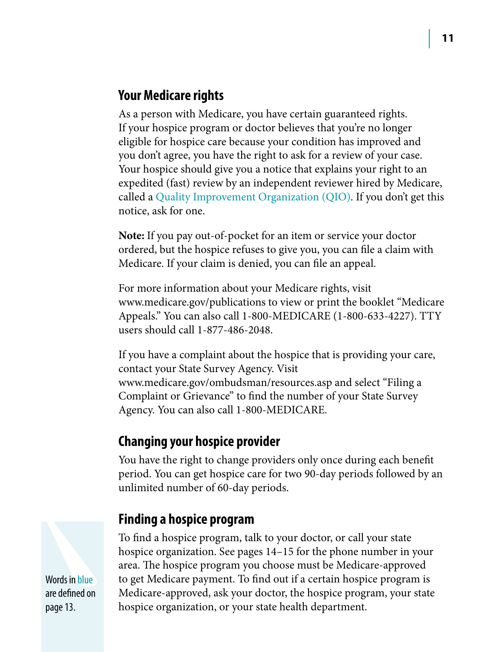# <span id="page-10-0"></span>**Your Medicare rights**

As a person with Medicare, you have certain guaranteed rights. If your hospice program or doctor believes that you're no longer eligible for hospice care because your condition has improved and you don't agree, you have the right to ask for a review of your case. Your hospice should give you a notice that explains your right to an expedited (fast) review by an independent reviewer hired by Medicare, called a [Quality Improvement Organization \(QIO\)](#page-12-8). If you don't get this notice, ask for one.

**Note:** If you pay out-of-pocket for an item or service your doctor ordered, but the hospice refuses to give you, you can file a claim with Medicare. If your claim is denied, you can file an appeal.

For more information about your Medicare rights, visit <www.medicare.gov/publications>to view or print the booklet "Medicare Appeals." You can also call 1-800-MEDICARE (1-800-633-4227). TTY users should call 1-877-486-2048.

If you have a complaint about the hospice that is providing your care, contact your State Survey Agency. Visit <www.medicare.gov/ombudsman/resources.asp>and select "Filing a Complaint or Grievance" to find the number of your State Survey Agency. You can also call 1-800-MEDICARE.

# **Changing your hospice provider**

You have the right to change providers only once during each benefit period. You can get hospice care for two 90-day periods followed by an unlimited number of 60-day periods.

# **Finding a hospice program**

To find a hospice program, talk to your doctor, or call your state hospice organization. See [pages 14–15](#page-13-1) for the phone number in your area. The hospice program you choose must be Medicare-approved to get Medicare payment. To find out if a certain hospice program is Medicare-approved, ask your doctor, the hospice program, your state hospice organization, or your state health department.

Words in blue are defined on page 13.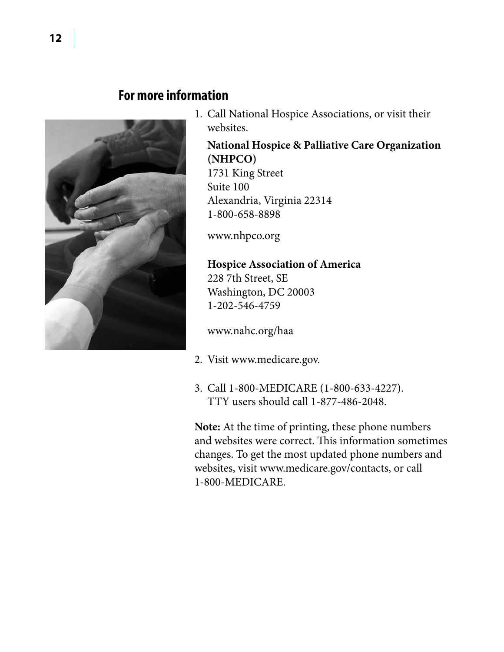# <span id="page-11-1"></span>**For more information**

<span id="page-11-0"></span>

1. Call National Hospice Associations, or visit their websites.

# **National Hospice & Palliative Care Organization (NHPCO)**

1731 King Street Suite 100 Alexandria, Virginia 22314 1-800-658-8898

<www.nhpco.org>

**Hospice Association of America** 228 7th Street, SE Washington, DC 20003 1-202-546-4759

<www.nahc.org/haa>

- 2. Visit [www.medicare.gov.](www.medicare.gov)
- 3. Call 1-800-MEDICARE (1-800-633-4227). TTY users should call 1-877-486-2048.

**Note:** At the time of printing, these phone numbers and websites were correct. This information sometimes changes. To get the most updated phone numbers and websites, visit <www.medicare.gov/contacts>, or call 1-800-MEDICARE.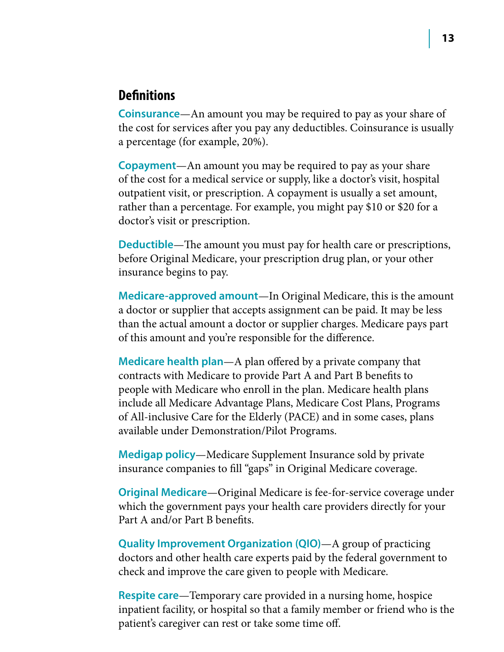#### <span id="page-12-0"></span>**Definitions**

<span id="page-12-6"></span>**Coinsurance**—An amount you may be required to pay as your share of the cost for services after you pay any deductibles. Coinsurance is usually a percentage (for example, 20%).

<span id="page-12-1"></span>**Copayment**—An amount you may be required to pay as your share of the cost for a medical service or supply, like a doctor's visit, hospital outpatient visit, or prescription. A copayment is usually a set amount, rather than a percentage. For example, you might pay \$10 or \$20 for a doctor's visit or prescription.

<span id="page-12-3"></span>**Deductible**—The amount you must pay for health care or prescriptions, before Original Medicare, your prescription drug plan, or your other insurance begins to pay.

**Medicare‑approved amount**—In Original Medicare, this is the amount a doctor or supplier that accepts assignment can be paid. It may be less than the actual amount a doctor or supplier charges. Medicare pays part of this amount and you're responsible for the difference.

<span id="page-12-5"></span>**Medicare health plan**—A plan offered by a private company that contracts with Medicare to provide Part A and Part B benefits to people with Medicare who enroll in the plan. Medicare health plans include all Medicare Advantage Plans, Medicare Cost Plans, Programs of All-inclusive Care for the Elderly (PACE) and in some cases, plans available under Demonstration/Pilot Programs.

<span id="page-12-7"></span>**Medigap policy**—Medicare Supplement Insurance sold by private insurance companies to fill "gaps" in Original Medicare coverage.

<span id="page-12-4"></span>**Original Medicare**—Original Medicare is fee-for-service coverage under which the government pays your health care providers directly for your Part A and/or Part B benefits.

<span id="page-12-8"></span>**Quality Improvement Organization (QIO)**—A group of practicing doctors and other health care experts paid by the federal government to check and improve the care given to people with Medicare.

<span id="page-12-2"></span>**Respite care**—Temporary care provided in a nursing home, hospice inpatient facility, or hospital so that a family member or friend who is the patient's caregiver can rest or take some time off.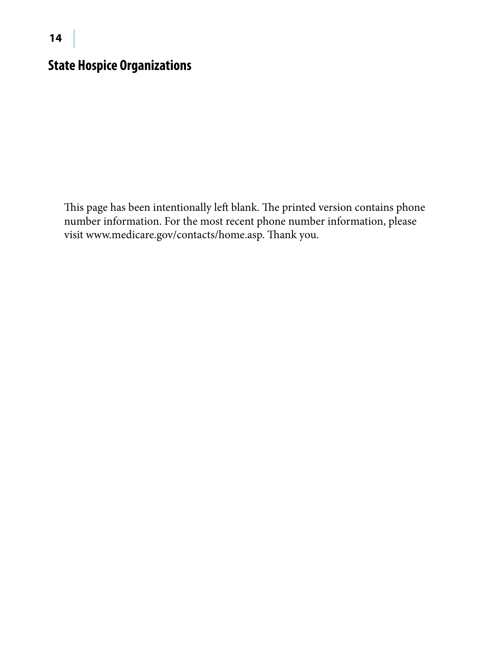# <span id="page-13-1"></span><span id="page-13-0"></span>**State Hospice Organizations**

This page has been intentionally left blank. The printed version contains phone number information. For the most recent phone number information, please visit [www.medicare.gov/contacts/home.asp.](www.medicare.gov/contacts/home.asp) Thank you.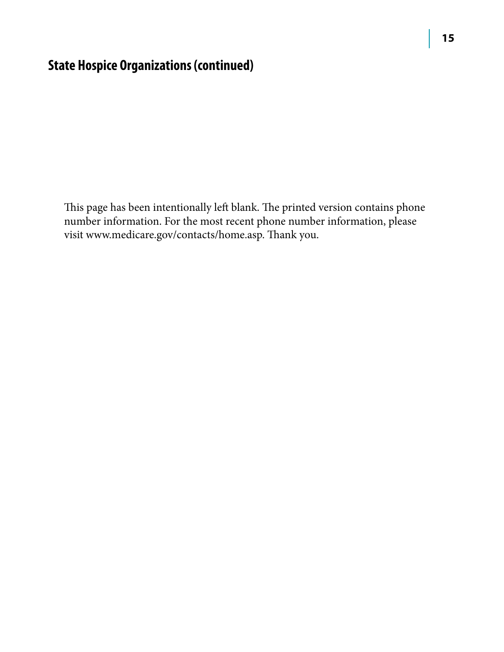# **State Hospice Organizations (continued)**

This page has been intentionally left blank. The printed version contains phone number information. For the most recent phone number information, please visit [www.medicare.gov/contacts/home.asp.](www.medicare.gov/contacts/home.asp) Thank you.